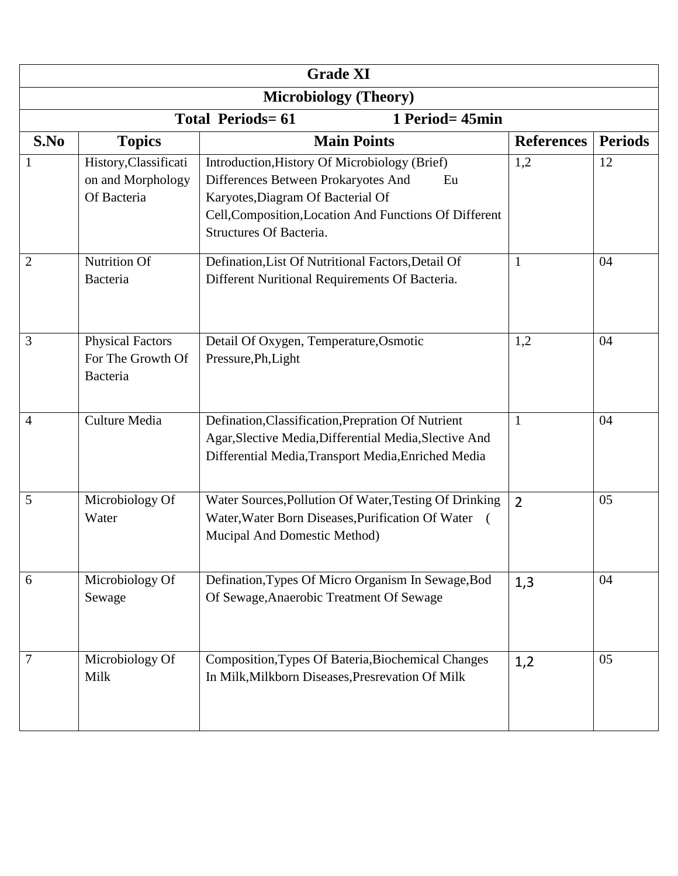| <b>Grade XI</b>                            |                                                           |                                                                                                                                                                                                                      |                   |                |  |  |  |  |
|--------------------------------------------|-----------------------------------------------------------|----------------------------------------------------------------------------------------------------------------------------------------------------------------------------------------------------------------------|-------------------|----------------|--|--|--|--|
| <b>Microbiology (Theory)</b>               |                                                           |                                                                                                                                                                                                                      |                   |                |  |  |  |  |
| <b>Total Periods=61</b><br>1 Period= 45min |                                                           |                                                                                                                                                                                                                      |                   |                |  |  |  |  |
| S.No                                       | <b>Topics</b>                                             | <b>Main Points</b>                                                                                                                                                                                                   | <b>References</b> | <b>Periods</b> |  |  |  |  |
|                                            | History, Classificati<br>on and Morphology<br>Of Bacteria | Introduction, History Of Microbiology (Brief)<br>Differences Between Prokaryotes And<br>Eu<br>Karyotes, Diagram Of Bacterial Of<br>Cell, Composition, Location And Functions Of Different<br>Structures Of Bacteria. | 1,2               | 12             |  |  |  |  |
| $\overline{2}$                             | <b>Nutrition Of</b><br>Bacteria                           | Defination, List Of Nutritional Factors, Detail Of<br>Different Nuritional Requirements Of Bacteria.                                                                                                                 | $\mathbf{1}$      | 04             |  |  |  |  |
| 3                                          | <b>Physical Factors</b><br>For The Growth Of<br>Bacteria  | Detail Of Oxygen, Temperature, Osmotic<br>Pressure, Ph, Light                                                                                                                                                        | 1,2               | 04             |  |  |  |  |
| 4                                          | Culture Media                                             | Defination, Classification, Prepration Of Nutrient<br>Agar, Slective Media, Differential Media, Slective And<br>Differential Media, Transport Media, Enriched Media                                                  | $\mathbf{1}$      | 04             |  |  |  |  |
| 5                                          | Microbiology Of<br>Water                                  | Water Sources, Pollution Of Water, Testing Of Drinking<br>Water, Water Born Diseases, Purification Of Water (<br>Mucipal And Domestic Method)                                                                        | $\overline{2}$    | 05             |  |  |  |  |
| 6                                          | Microbiology Of<br>Sewage                                 | Defination, Types Of Micro Organism In Sewage, Bod<br>Of Sewage, Anaerobic Treatment Of Sewage                                                                                                                       | 1,3               | 04             |  |  |  |  |
| 7                                          | Microbiology Of<br>Milk                                   | Composition, Types Of Bateria, Biochemical Changes<br>In Milk, Milkborn Diseases, Presrevation Of Milk                                                                                                               | 1,2               | 05             |  |  |  |  |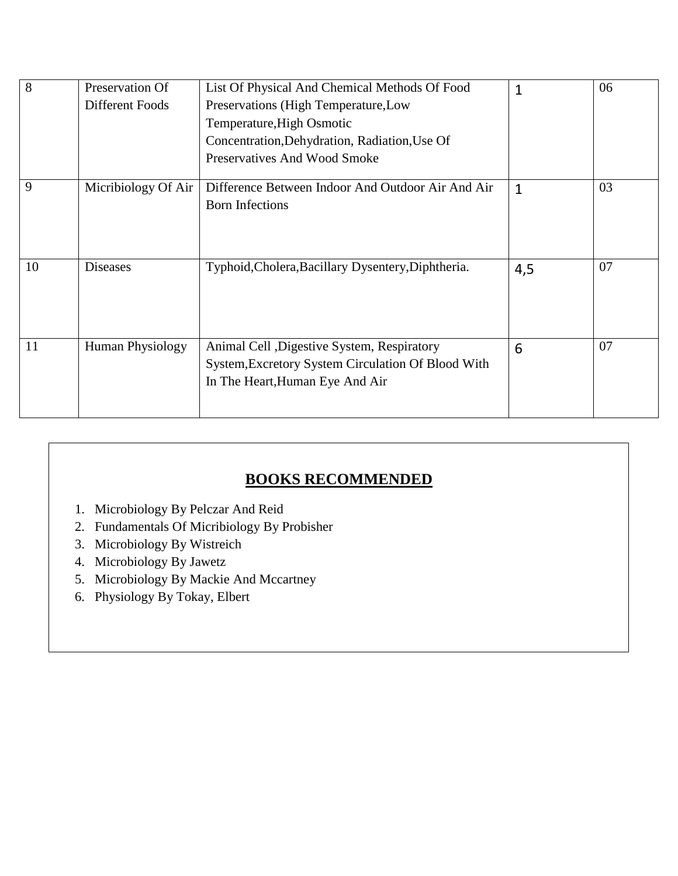| $\overline{8}$ | Preservation Of         | List Of Physical And Chemical Methods Of Food                                                                                        | $\mathbf{1}$ | 06 |
|----------------|-------------------------|--------------------------------------------------------------------------------------------------------------------------------------|--------------|----|
|                | Different Foods         | Preservations (High Temperature, Low                                                                                                 |              |    |
|                |                         | Temperature, High Osmotic                                                                                                            |              |    |
|                |                         | Concentration, Dehydration, Radiation, Use Of                                                                                        |              |    |
|                |                         | Preservatives And Wood Smoke                                                                                                         |              |    |
| 9              | Micribiology Of Air     | Difference Between Indoor And Outdoor Air And Air<br><b>Born Infections</b>                                                          | $\mathbf{1}$ | 03 |
| 10             | <b>Diseases</b>         | Typhoid, Cholera, Bacillary Dysentery, Diphtheria.                                                                                   | 4,5          | 07 |
| 11             | <b>Human Physiology</b> | Animal Cell , Digestive System, Respiratory<br>System, Excretory System Circulation Of Blood With<br>In The Heart, Human Eye And Air | 6            | 07 |

## **BOOKS RECOMMENDED**

- 1. Microbiology By Pelczar And Reid
- 2. Fundamentals Of Micribiology By Probisher
- 3. Microbiology By Wistreich
- 4. Microbiology By Jawetz
- 5. Microbiology By Mackie And Mccartney
- 6. Physiology By Tokay, Elbert